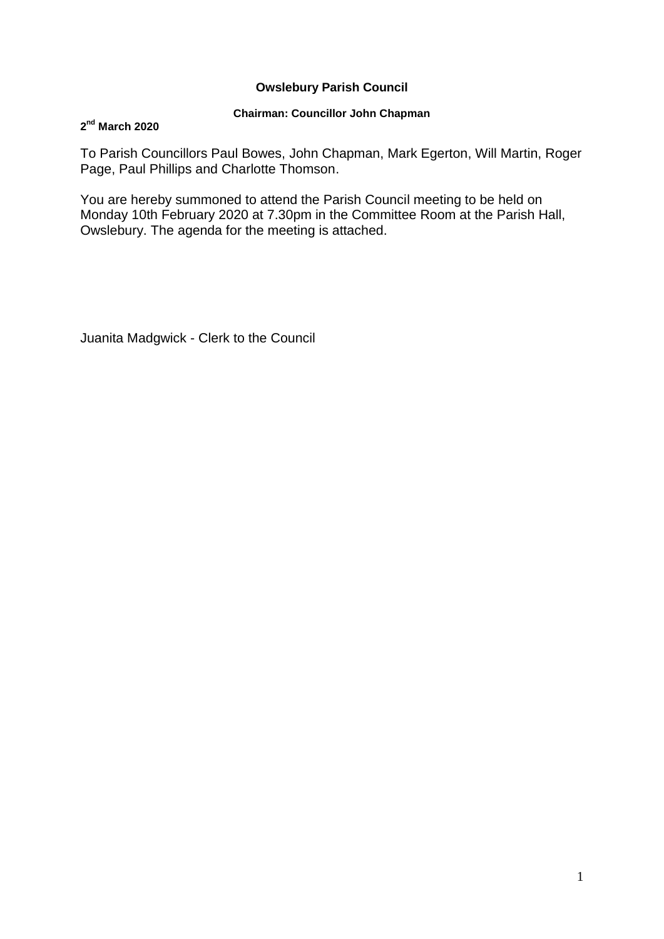### **Owslebury Parish Council**

### **Chairman: Councillor John Chapman**

### **2 nd March 2020**

To Parish Councillors Paul Bowes, John Chapman, Mark Egerton, Will Martin, Roger Page, Paul Phillips and Charlotte Thomson.

You are hereby summoned to attend the Parish Council meeting to be held on Monday 10th February 2020 at 7.30pm in the Committee Room at the Parish Hall, Owslebury. The agenda for the meeting is attached.

Juanita Madgwick - Clerk to the Council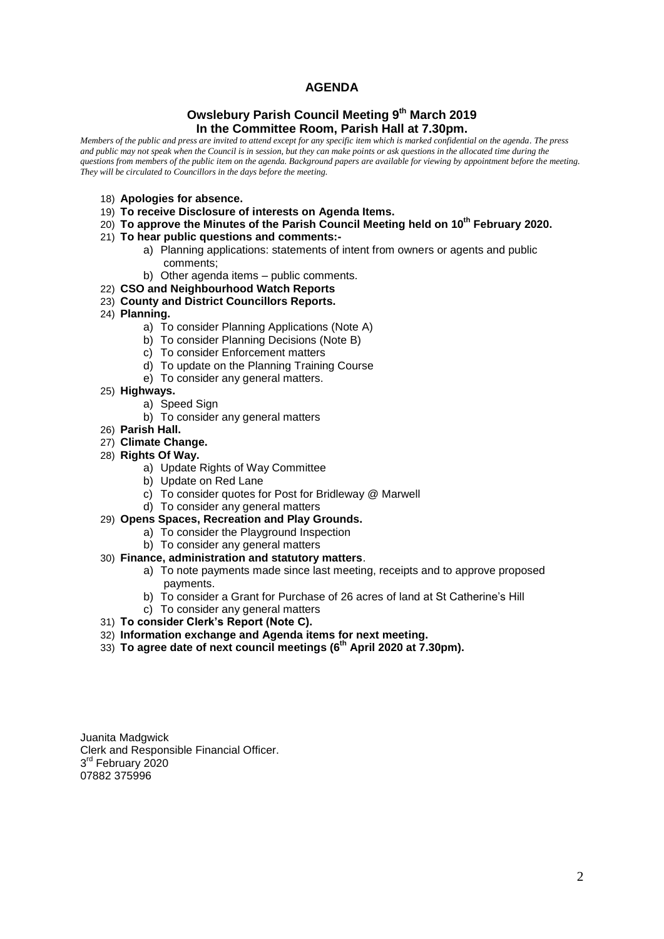### **AGENDA**

### **Owslebury Parish Council Meeting 9 th March 2019 In the Committee Room, Parish Hall at 7.30pm.**

*Members of the public and press are invited to attend except for any specific item which is marked confidential on the agenda. The press and public may not speak when the Council is in session, but they can make points or ask questions in the allocated time during the questions from members of the public item on the agenda. Background papers are available for viewing by appointment before the meeting. They will be circulated to Councillors in the days before the meeting.* 

- 18) **Apologies for absence.**
- 19) **To receive Disclosure of interests on Agenda Items.**
- 20) **To approve the Minutes of the Parish Council Meeting held on 10th February 2020.**
- 21) **To hear public questions and comments:**
	- a) Planning applications: statements of intent from owners or agents and public comments;
	- b) Other agenda items public comments.
- 22) **CSO and Neighbourhood Watch Reports**
- 23) **County and District Councillors Reports.**
- 24) **Planning.** 
	- a) To consider Planning Applications (Note A)
	- b) To consider Planning Decisions (Note B)
	- c) To consider Enforcement matters
	- d) To update on the Planning Training Course
	- e) To consider any general matters.
- 25) **Highways.**
	- a) Speed Sign
	- b) To consider any general matters
- 26) **Parish Hall.**
- 27) **Climate Change.**
- 28) **Rights Of Way.**
	- a) Update Rights of Way Committee
	- b) Update on Red Lane
	- c) To consider quotes for Post for Bridleway @ Marwell
	- d) To consider any general matters
- 29) **Opens Spaces, Recreation and Play Grounds.**
	- a) To consider the Playground Inspection
	- b) To consider any general matters

#### 30) **Finance, administration and statutory matters**.

- a) To note payments made since last meeting, receipts and to approve proposed payments.
- b) To consider a Grant for Purchase of 26 acres of land at St Catherine's Hill
- c) To consider any general matters
- 31) **To consider Clerk's Report (Note C).**
- 32) **Information exchange and Agenda items for next meeting.**
- 33) **To agree date of next council meetings (6 th April 2020 at 7.30pm).**

Juanita Madgwick Clerk and Responsible Financial Officer. 3<sup>rd</sup> February 2020 07882 375996